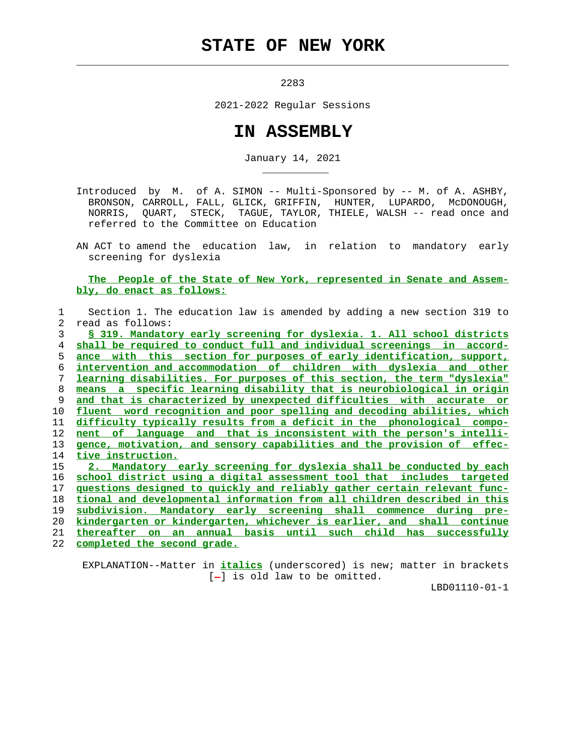## **STATE OF NEW YORK**

 $\mathcal{L}_\text{max} = \frac{1}{2} \sum_{i=1}^{n} \frac{1}{2} \sum_{i=1}^{n} \frac{1}{2} \sum_{i=1}^{n} \frac{1}{2} \sum_{i=1}^{n} \frac{1}{2} \sum_{i=1}^{n} \frac{1}{2} \sum_{i=1}^{n} \frac{1}{2} \sum_{i=1}^{n} \frac{1}{2} \sum_{i=1}^{n} \frac{1}{2} \sum_{i=1}^{n} \frac{1}{2} \sum_{i=1}^{n} \frac{1}{2} \sum_{i=1}^{n} \frac{1}{2} \sum_{i=1}^{n} \frac{1$ 

2283

2021-2022 Regular Sessions

## **IN ASSEMBLY**

January 14, 2021

 Introduced by M. of A. SIMON -- Multi-Sponsored by -- M. of A. ASHBY, BRONSON, CARROLL, FALL, GLICK, GRIFFIN, HUNTER, LUPARDO, McDONOUGH, NORRIS, QUART, STECK, TAGUE, TAYLOR, THIELE, WALSH -- read once and referred to the Committee on Education

 AN ACT to amend the education law, in relation to mandatory early screening for dyslexia

## **The People of the State of New York, represented in Senate and Assem bly, do enact as follows:**

 1 Section 1. The education law is amended by adding a new section 319 to 2 read as follows:

**§ 319. Mandatory early screening for dyslexia. 1. All school districts shall be required to conduct full and individual screenings in accord- ance with this section for purposes of early identification, support, intervention and accommodation of children with dyslexia and other learning disabilities. For purposes of this section, the term "dyslexia" means a specific learning disability that is neurobiological in origin and that is characterized by unexpected difficulties with accurate or fluent word recognition and poor spelling and decoding abilities, which difficulty typically results from a deficit in the phonological compo- nent of language and that is inconsistent with the person's intelli- gence, motivation, and sensory capabilities and the provision of effec- tive instruction. 2. Mandatory early screening for dyslexia shall be conducted by each**

 16 **school district using a digital assessment tool that includes targeted** 17 **questions designed to quickly and reliably gather certain relevant func-** 18 **tional and developmental information from all children described in this**

19 **subdivision. Mandatory early screening shall commence during pre-**

20 **kindergarten or kindergarten, whichever is earlier, and shall continue**

21 **thereafter on an annual basis until such child has successfully**

22 **completed the second grade.**

\_\_\_\_\_\_\_\_\_\_\_

 EXPLANATION--Matter in **italics** (underscored) is new; matter in brackets  $[-]$  is old law to be omitted.

LBD01110-01-1